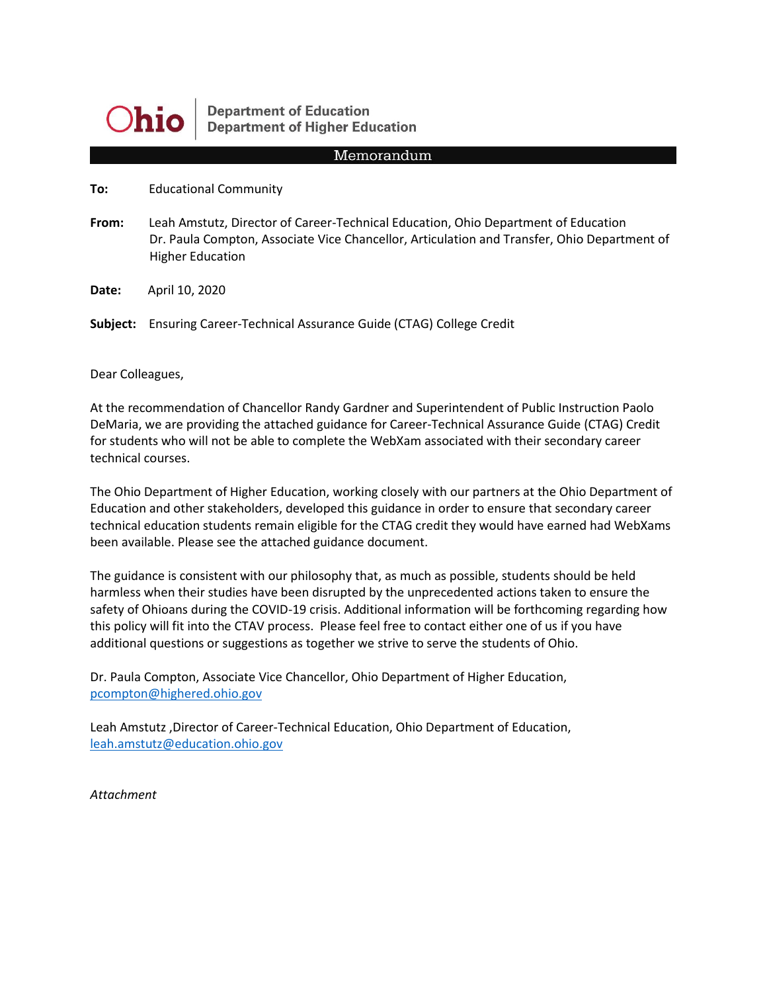

**Department of Education Department of Higher Education** 

#### Memorandum

**To:** Educational Community

**From:** Leah Amstutz, Director of Career-Technical Education, Ohio Department of Education Dr. Paula Compton, Associate Vice Chancellor, Articulation and Transfer, Ohio Department of Higher Education

**Date:** April 10, 2020

**Subject:** Ensuring Career-Technical Assurance Guide (CTAG) College Credit

Dear Colleagues,

At the recommendation of Chancellor Randy Gardner and Superintendent of Public Instruction Paolo DeMaria, we are providing the attached guidance for Career-Technical Assurance Guide (CTAG) Credit for students who will not be able to complete the WebXam associated with their secondary career technical courses.

The Ohio Department of Higher Education, working closely with our partners at the Ohio Department of Education and other stakeholders, developed this guidance in order to ensure that secondary career technical education students remain eligible for the CTAG credit they would have earned had WebXams been available. Please see the attached guidance document.

The guidance is consistent with our philosophy that, as much as possible, students should be held harmless when their studies have been disrupted by the unprecedented actions taken to ensure the safety of Ohioans during the COVID-19 crisis. Additional information will be forthcoming regarding how this policy will fit into the CTAV process. Please feel free to contact either one of us if you have additional questions or suggestions as together we strive to serve the students of Ohio.

Dr. Paula Compton, Associate Vice Chancellor, Ohio Department of Higher Education, [pcompton@highered.ohio.gov](mailto:pcompton@highered.ohio.gov)

Leah Amstutz ,Director of Career-Technical Education, Ohio Department of Education, [leah.amstutz@education.ohio.gov](mailto:leah.amstutz@education.ohio.gov)

*Attachment*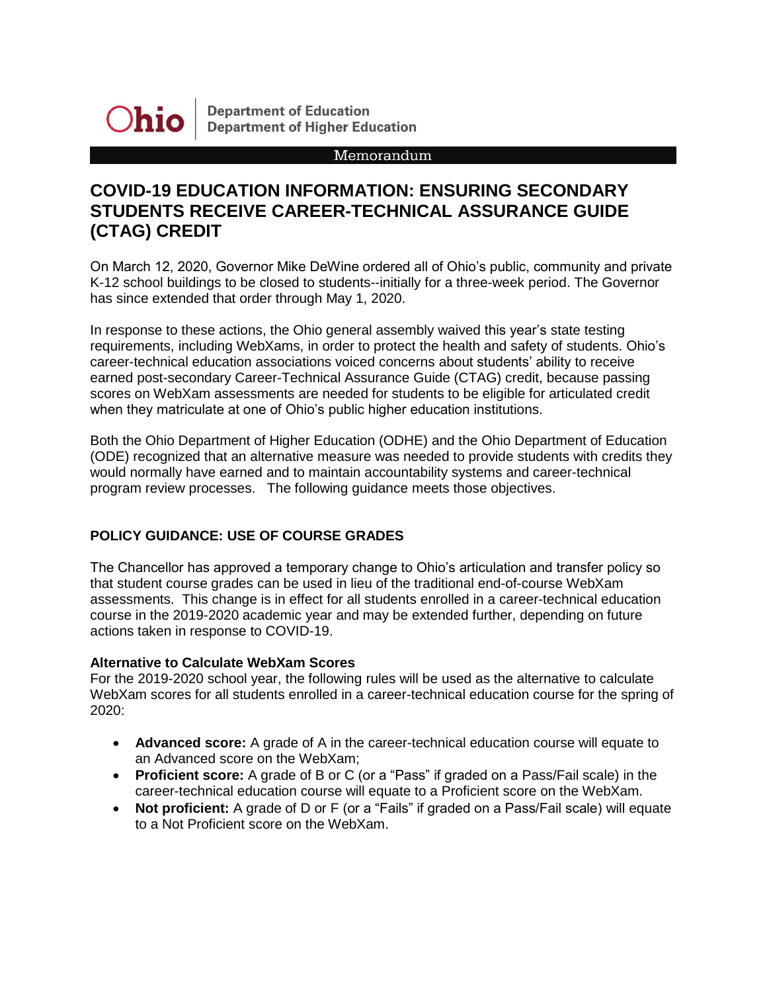

**Department of Education Department of Higher Education** 

### Memorandum

# **COVID-19 EDUCATION INFORMATION: ENSURING SECONDARY STUDENTS RECEIVE CAREER-TECHNICAL ASSURANCE GUIDE (CTAG) CREDIT**

On March 12, 2020, Governor Mike DeWine ordered all of Ohio's public, community and private K-12 school buildings to be closed to students--initially for a three-week period. The Governor has since extended that order through May 1, 2020.

In response to these actions, the Ohio general assembly waived this year's state testing requirements, including WebXams, in order to protect the health and safety of students. Ohio's career-technical education associations voiced concerns about students' ability to receive earned post-secondary Career-Technical Assurance Guide (CTAG) credit, because passing scores on WebXam assessments are needed for students to be eligible for articulated credit when they matriculate at one of Ohio's public higher education institutions.

Both the Ohio Department of Higher Education (ODHE) and the Ohio Department of Education (ODE) recognized that an alternative measure was needed to provide students with credits they would normally have earned and to maintain accountability systems and career-technical program review processes. The following guidance meets those objectives.

## **POLICY GUIDANCE: USE OF COURSE GRADES**

The Chancellor has approved a temporary change to Ohio's articulation and transfer policy so that student course grades can be used in lieu of the traditional end-of-course WebXam assessments. This change is in effect for all students enrolled in a career-technical education course in the 2019-2020 academic year and may be extended further, depending on future actions taken in response to COVID-19.

## **Alternative to Calculate WebXam Scores**

For the 2019-2020 school year, the following rules will be used as the alternative to calculate WebXam scores for all students enrolled in a career-technical education course for the spring of 2020:

- **Advanced score:** A grade of A in the career-technical education course will equate to an Advanced score on the WebXam;
- **Proficient score:** A grade of B or C (or a "Pass" if graded on a Pass/Fail scale) in the career-technical education course will equate to a Proficient score on the WebXam.
- **Not proficient:** A grade of D or F (or a "Fails" if graded on a Pass/Fail scale) will equate to a Not Proficient score on the WebXam.